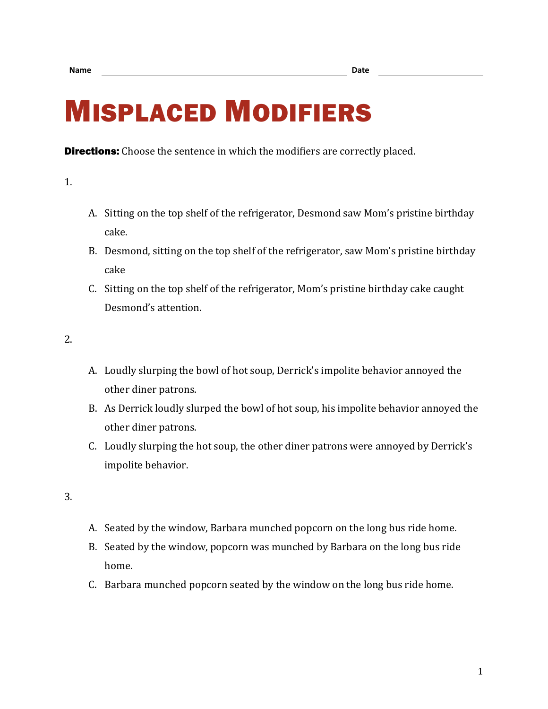## MISPLACED MODIFIERS

**Directions:** Choose the sentence in which the modifiers are correctly placed.

1.

- A. Sitting on the top shelf of the refrigerator, Desmond saw Mom's pristine birthday cake.
- B. Desmond, sitting on the top shelf of the refrigerator, saw Mom's pristine birthday cake
- C. Sitting on the top shelf of the refrigerator, Mom's pristine birthday cake caught Desmond's attention.

2.

- A. Loudly slurping the bowl of hot soup, Derrick's impolite behavior annoyed the other diner patrons.
- B. As Derrick loudly slurped the bowl of hot soup, his impolite behavior annoyed the other diner patrons.
- C. Loudly slurping the hot soup, the other diner patrons were annoyed by Derrick's impolite behavior.

3.

- A. Seated by the window, Barbara munched popcorn on the long bus ride home.
- B. Seated by the window, popcorn was munched by Barbara on the long bus ride home.
- C. Barbara munched popcorn seated by the window on the long bus ride home.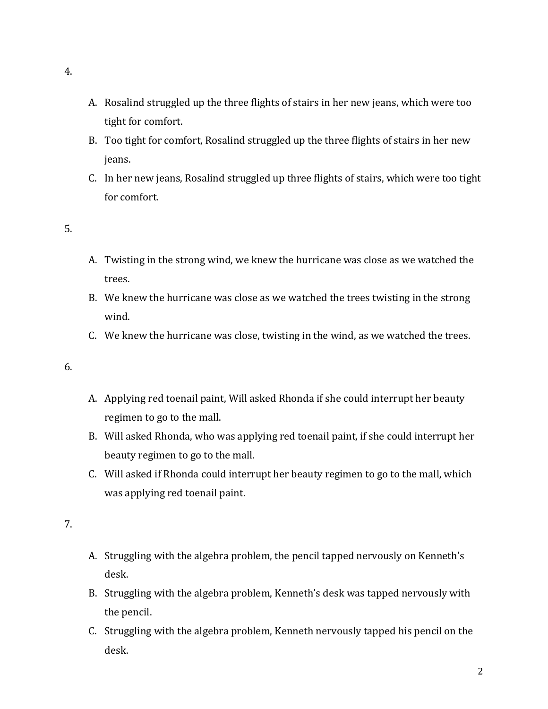- A. Rosalind struggled up the three flights of stairs in her new jeans, which were too tight for comfort.
- B. Too tight for comfort, Rosalind struggled up the three flights of stairs in her new jeans.
- C. In her new jeans, Rosalind struggled up three flights of stairs, which were too tight for comfort.

## 5.

- A. Twisting in the strong wind, we knew the hurricane was close as we watched the trees.
- B. We knew the hurricane was close as we watched the trees twisting in the strong wind.
- C. We knew the hurricane was close, twisting in the wind, as we watched the trees.

## 6.

- A. Applying red toenail paint, Will asked Rhonda if she could interrupt her beauty regimen to go to the mall.
- B. Will asked Rhonda, who was applying red toenail paint, if she could interrupt her beauty regimen to go to the mall.
- C. Will asked if Rhonda could interrupt her beauty regimen to go to the mall, which was applying red toenail paint.

## 7.

- A. Struggling with the algebra problem, the pencil tapped nervously on Kenneth's desk.
- B. Struggling with the algebra problem, Kenneth's desk was tapped nervously with the pencil.
- C. Struggling with the algebra problem, Kenneth nervously tapped his pencil on the desk.